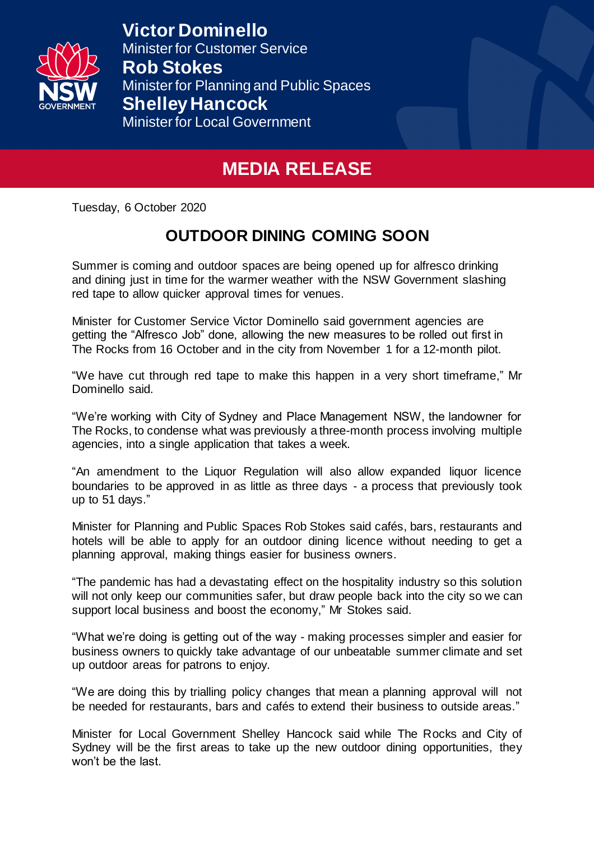

**Victor Dominello**  Minister for Customer Service **Rob Stokes** Minister for Planning and Public Spaces **Shelley Hancock** Minister for Local Government

## **MEDIA RELEASE**

Tuesday, 6 October 2020

## **OUTDOOR DINING COMING SOON**

Summer is coming and outdoor spaces are being opened up for alfresco drinking and dining just in time for the warmer weather with the NSW Government slashing red tape to allow quicker approval times for venues.

Minister for Customer Service Victor Dominello said government agencies are getting the "Alfresco Job" done, allowing the new measures to be rolled out first in The Rocks from 16 October and in the city from November 1 for a 12-month pilot.

"We have cut through red tape to make this happen in a very short timeframe," Mr Dominello said.

"We're working with City of Sydney and Place Management NSW, the landowner for The Rocks, to condense what was previously a three-month process involving multiple agencies, into a single application that takes a week.

"An amendment to the Liquor Regulation will also allow expanded liquor licence boundaries to be approved in as little as three days - a process that previously took up to 51 days."

Minister for Planning and Public Spaces Rob Stokes said cafés, bars, restaurants and hotels will be able to apply for an outdoor dining licence without needing to get a planning approval, making things easier for business owners.

"The pandemic has had a devastating effect on the hospitality industry so this solution will not only keep our communities safer, but draw people back into the city so we can support local business and boost the economy," Mr Stokes said.

"What we're doing is getting out of the way - making processes simpler and easier for business owners to quickly take advantage of our unbeatable summer climate and set up outdoor areas for patrons to enjoy.

"We are doing this by trialling policy changes that mean a planning approval will not be needed for restaurants, bars and cafés to extend their business to outside areas."

Minister for Local Government Shelley Hancock said while The Rocks and City of Sydney will be the first areas to take up the new outdoor dining opportunities, they won't be the last.